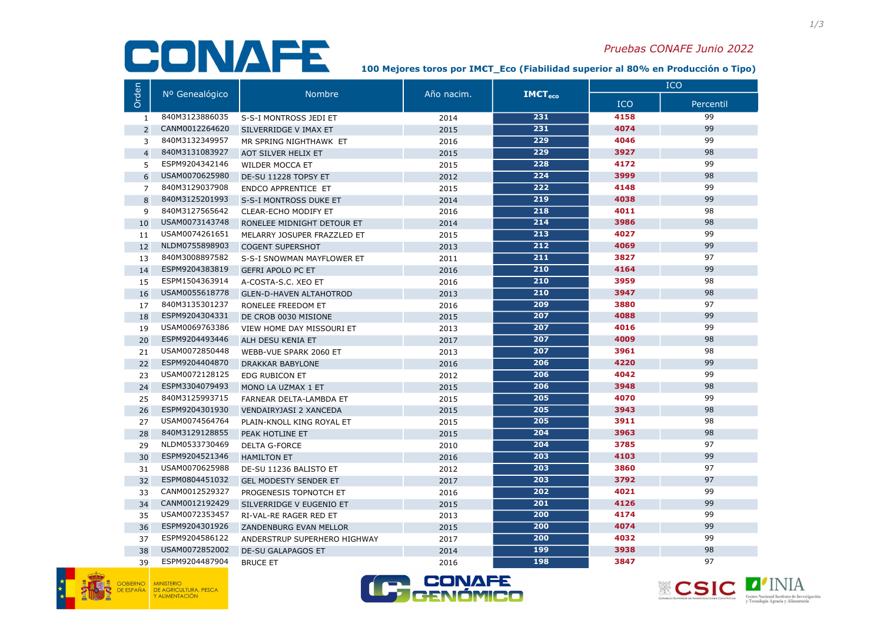## CONAFE

## Pruebas CONAFE Junio 2022

100 Mejores toros por IM€T\_Eco (Fiabilidad superior al 80% en Producción o Tipo)

|                | Nº Genealógico | <b>Nombre</b>                  | Año nacim. | $IMCT_{\rm eco}$ | <b>ICO</b> |           |
|----------------|----------------|--------------------------------|------------|------------------|------------|-----------|
| Orden          |                |                                |            |                  | ICO        | Percentil |
| 1              | 840M3123886035 | S-S-I MONTROSS JEDI ET         | 2014       | 231              | 4158       | 99        |
| $\overline{2}$ | CANM0012264620 | SILVERRIDGE V IMAX ET          | 2015       | 231              | 4074       | 99        |
| 3              | 840M3132349957 | MR SPRING NIGHTHAWK ET         | 2016       | 229              | 4046       | 99        |
| $\overline{4}$ | 840M3131083927 | AOT SILVER HELIX ET            | 2015       | 229              | 3927       | 98        |
| 5              | ESPM9204342146 | WILDER MOCCA ET                | 2015       | 228              | 4172       | 99        |
| 6              | USAM0070625980 | DE-SU 11228 TOPSY ET           | 2012       | 224              | 3999       | 98        |
| $\overline{7}$ | 840M3129037908 | <b>ENDCO APPRENTICE ET</b>     | 2015       | 222              | 4148       | 99        |
| 8              | 840M3125201993 | S-S-I MONTROSS DUKE ET         | 2014       | 219              | 4038       | 99        |
| 9              | 840M3127565642 | <b>CLEAR-ECHO MODIFY ET</b>    | 2016       | 218              | 4011       | 98        |
| 10             | USAM0073143748 | RONELEE MIDNIGHT DETOUR ET     | 2014       | 214              | 3986       | 98        |
| 11             | USAM0074261651 | MELARRY JOSUPER FRAZZLED ET    | 2015       | 213              | 4027       | 99        |
| 12             | NLDM0755898903 | <b>COGENT SUPERSHOT</b>        | 2013       | $\overline{212}$ | 4069       | 99        |
| 13             | 840M3008897582 | S-S-I SNOWMAN MAYFLOWER ET     | 2011       | 211              | 3827       | 97        |
| 14             | ESPM9204383819 | <b>GEFRI APOLO PC ET</b>       | 2016       | 210              | 4164       | 99        |
| 15             | ESPM1504363914 | A-COSTA-S.C. XEO ET            | 2016       | 210              | 3959       | 98        |
| 16             | USAM0055618778 | <b>GLEN-D-HAVEN ALTAHOTROD</b> | 2013       | $\overline{210}$ | 3947       | 98        |
| 17             | 840M3135301237 | RONELEE FREEDOM ET             | 2016       | 209              | 3880       | 97        |
| 18             | ESPM9204304331 | DE CROB 0030 MISIONE           | 2015       | 207              | 4088       | 99        |
| 19             | USAM0069763386 | VIEW HOME DAY MISSOURI ET      | 2013       | 207              | 4016       | 99        |
| 20             | ESPM9204493446 | ALH DESU KENIA ET              | 2017       | 207              | 4009       | 98        |
| 21             | USAM0072850448 | WEBB-VUE SPARK 2060 ET         | 2013       | 207              | 3961       | 98        |
| 22             | ESPM9204404870 | <b>DRAKKAR BABYLONE</b>        | 2016       | 206              | 4220       | 99        |
| 23             | USAM0072128125 | EDG RUBICON ET                 | 2012       | 206              | 4042       | 99        |
| 24             | ESPM3304079493 | MONO LA UZMAX 1 ET             | 2015       | 206              | 3948       | 98        |
| 25             | 840M3125993715 | FARNEAR DELTA-LAMBDA ET        | 2015       | 205              | 4070       | 99        |
| 26             | ESPM9204301930 | <b>VENDAIRYJASI 2 XANCEDA</b>  | 2015       | 205              | 3943       | 98        |
| 27             | USAM0074564764 | PLAIN-KNOLL KING ROYAL ET      | 2015       | 205              | 3911       | 98        |
| 28             | 840M3129128855 | PEAK HOTLINE ET                | 2015       | 204              | 3963       | 98        |
| 29             | NLDM0533730469 | <b>DELTA G-FORCE</b>           | 2010       | 204              | 3785       | 97        |
| 30             | ESPM9204521346 | <b>HAMILTON ET</b>             | 2016       | 203              | 4103       | 99        |
| 31             | USAM0070625988 | DE-SU 11236 BALISTO ET         | 2012       | 203              | 3860       | 97        |
| 32             | ESPM0804451032 | <b>GEL MODESTY SENDER ET</b>   | 2017       | 203              | 3792       | 97        |
| 33             | CANM0012529327 | PROGENESIS TOPNOTCH ET         | 2016       | 202              | 4021       | 99        |
| 34             | CANM0012192429 | SILVERRIDGE V EUGENIO ET       | 2015       | 201              | 4126       | 99        |
| 35             | USAM0072353457 | RI-VAL-RE RAGER RED ET         | 2013       | 200              | 4174       | 99        |
| 36             | ESPM9204301926 | ZANDENBURG EVAN MELLOR         | 2015       | 200              | 4074       | 99        |
| 37             | ESPM9204586122 | ANDERSTRUP SUPERHERO HIGHWAY   | 2017       | 200              | 4032       | 99        |
| 38             | USAM0072852002 | <b>DE-SU GALAPAGOS ET</b>      | 2014       | <b>199</b>       | 3938       | 98        |
| 39             | ESPM9204487904 | <b>BRUCE ET</b>                | 2016       | 198              | 3847       | 97        |





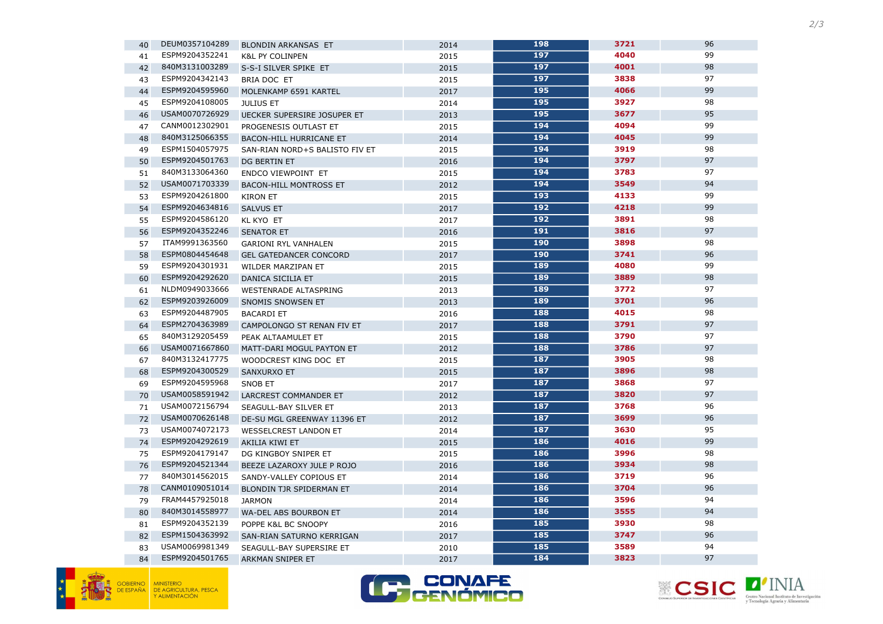





| 40 | DEUM0357104289 | <b>BLONDIN ARKANSAS ET</b>     | 2014 | 198 | 3721 | 96 |
|----|----------------|--------------------------------|------|-----|------|----|
| 41 | ESPM9204352241 | <b>K&amp;L PY COLINPEN</b>     | 2015 | 197 | 4040 | 99 |
| 42 | 840M3131003289 | S-S-I SILVER SPIKE ET          | 2015 | 197 | 4001 | 98 |
| 43 | ESPM9204342143 | BRIA DOC ET                    | 2015 | 197 | 3838 | 97 |
| 44 | ESPM9204595960 | MOLENKAMP 6591 KARTEL          | 2017 | 195 | 4066 | 99 |
| 45 | ESPM9204108005 | <b>JULIUS ET</b>               | 2014 | 195 | 3927 | 98 |
| 46 | USAM0070726929 | UECKER SUPERSIRE JOSUPER ET    | 2013 | 195 | 3677 | 95 |
| 47 | CANM0012302901 | PROGENESIS OUTLAST ET          | 2015 | 194 | 4094 | 99 |
| 48 | 840M3125066355 | <b>BACON-HILL HURRICANE ET</b> | 2014 | 194 | 4045 | 99 |
| 49 | ESPM1504057975 | SAN-RIAN NORD+S BALISTO FIV ET | 2015 | 194 | 3919 | 98 |
| 50 | ESPM9204501763 | DG BERTIN ET                   | 2016 | 194 | 3797 | 97 |
| 51 | 840M3133064360 | ENDCO VIEWPOINT ET             | 2015 | 194 | 3783 | 97 |
| 52 | USAM0071703339 | <b>BACON-HILL MONTROSS ET</b>  | 2012 | 194 | 3549 | 94 |
| 53 | ESPM9204261800 | <b>KIRON ET</b>                | 2015 | 193 | 4133 | 99 |
| 54 | ESPM9204634816 | <b>SALVUS ET</b>               | 2017 | 192 | 4218 | 99 |
| 55 | ESPM9204586120 | KL KYO ET                      | 2017 | 192 | 3891 | 98 |
| 56 | ESPM9204352246 | <b>SENATOR ET</b>              | 2016 | 191 | 3816 | 97 |
| 57 | ITAM9991363560 | <b>GARIONI RYL VANHALEN</b>    | 2015 | 190 | 3898 | 98 |
| 58 | ESPM0804454648 | <b>GEL GATEDANCER CONCORD</b>  | 2017 | 190 | 3741 | 96 |
| 59 | ESPM9204301931 | WILDER MARZIPAN ET             | 2015 | 189 | 4080 | 99 |
| 60 | ESPM9204292620 | DANICA SICILIA ET              | 2015 | 189 | 3889 | 98 |
| 61 | NLDM0949033666 | WESTENRADE ALTASPRING          | 2013 | 189 | 3772 | 97 |
| 62 | ESPM9203926009 | SNOMIS SNOWSEN ET              | 2013 | 189 | 3701 | 96 |
| 63 | ESPM9204487905 | <b>BACARDI ET</b>              | 2016 | 188 | 4015 | 98 |
| 64 | ESPM2704363989 | CAMPOLONGO ST RENAN FIV ET     | 2017 | 188 | 3791 | 97 |
| 65 | 840M3129205459 | PEAK ALTAAMULET ET             | 2015 | 188 | 3790 | 97 |
| 66 | USAM0071667860 | MATT-DARI MOGUL PAYTON ET      | 2012 | 188 | 3786 | 97 |
| 67 | 840M3132417775 | WOODCREST KING DOC ET          | 2015 | 187 | 3905 | 98 |
| 68 | ESPM9204300529 | SANXURXO ET                    | 2015 | 187 | 3896 | 98 |
| 69 | ESPM9204595968 | SNOB ET                        | 2017 | 187 | 3868 | 97 |
| 70 | USAM0058591942 | LARCREST COMMANDER ET          | 2012 | 187 | 3820 | 97 |
| 71 | USAM0072156794 | SEAGULL-BAY SILVER ET          | 2013 | 187 | 3768 | 96 |
| 72 | USAM0070626148 | DE-SU MGL GREENWAY 11396 ET    | 2012 | 187 | 3699 | 96 |
| 73 | USAM0074072173 | <b>WESSELCREST LANDON ET</b>   | 2014 | 187 | 3630 | 95 |
| 74 | ESPM9204292619 | <b>AKILIA KIWI ET</b>          | 2015 | 186 | 4016 | 99 |
| 75 | ESPM9204179147 | DG KINGBOY SNIPER ET           | 2015 | 186 | 3996 | 98 |
| 76 | ESPM9204521344 | BEEZE LAZAROXY JULE P ROJO     | 2016 | 186 | 3934 | 98 |
| 77 | 840M3014562015 | SANDY-VALLEY COPIOUS ET        | 2014 | 186 | 3719 | 96 |
| 78 | CANM0109051014 | BLONDIN TJR SPIDERMAN ET       | 2014 | 186 | 3704 | 96 |
| 79 | FRAM4457925018 | <b>JARMON</b>                  | 2014 | 186 | 3596 | 94 |
| 80 | 840M3014558977 | WA-DEL ABS BOURBON ET          | 2014 | 186 | 3555 | 94 |
| 81 | ESPM9204352139 | POPPE K&L BC SNOOPY            | 2016 | 185 | 3930 | 98 |
| 82 | ESPM1504363992 | SAN-RIAN SATURNO KERRIGAN      | 2017 | 185 | 3747 | 96 |
| 83 | USAM0069981349 | SEAGULL-BAY SUPERSIRE ET       | 2010 | 185 | 3589 | 94 |
| 84 | ESPM9204501765 | <b>ARKMAN SNIPER ET</b>        | 2017 | 184 | 3823 | 97 |